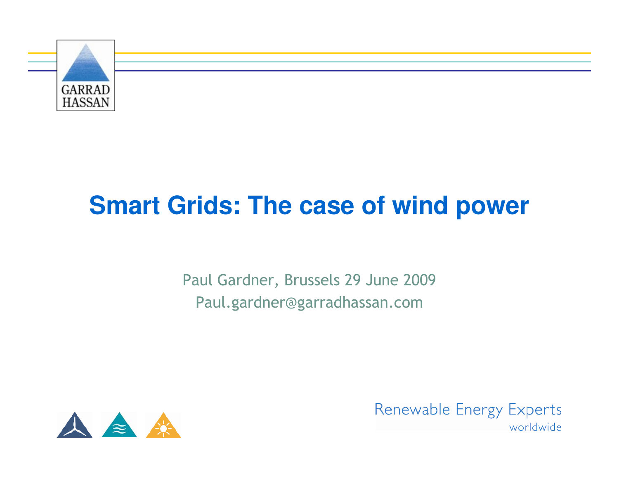

## **Smart Grids: The case of wind power**

Paul Gardner, Brussels 29 June 2009Paul.gardner@garradhassan.com



Renewable Energy Experts worldwide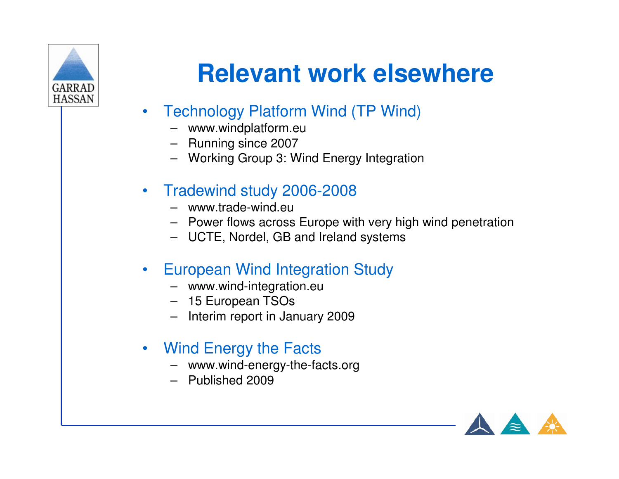

## **Relevant work elsewhere**

- $\bullet$  Technology Platform Wind (TP Wind)
	- www.windplatform.eu
	- Running since 2007
	- Working Group 3: Wind Energy Integration
- • Tradewind study 2006-2008
	- www.trade-wind.eu
	- Power flows across Europe with very high wind penetration
	- UCTE, Nordel, GB and Ireland systems
- $\bullet$  European Wind Integration Study
	- www.wind-integration.eu
	- 15 European TSOs
	- Interim report in January 2009
- • Wind Energy the Facts
	- www.wind-energy-the-facts.org
	- Published 2009

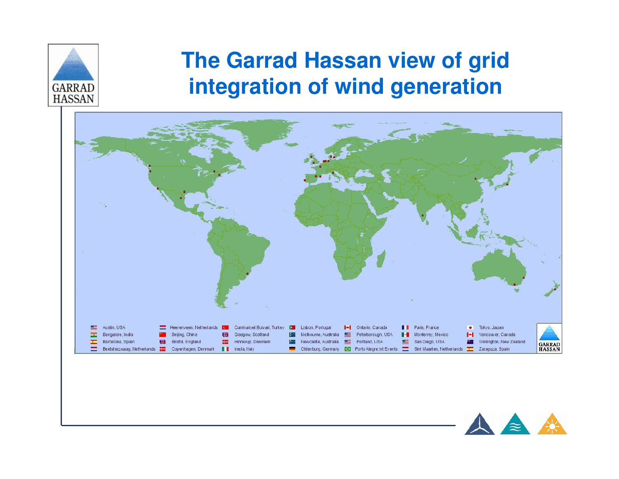

#### **The Garrad Hassan view of grid integration of wind generation**



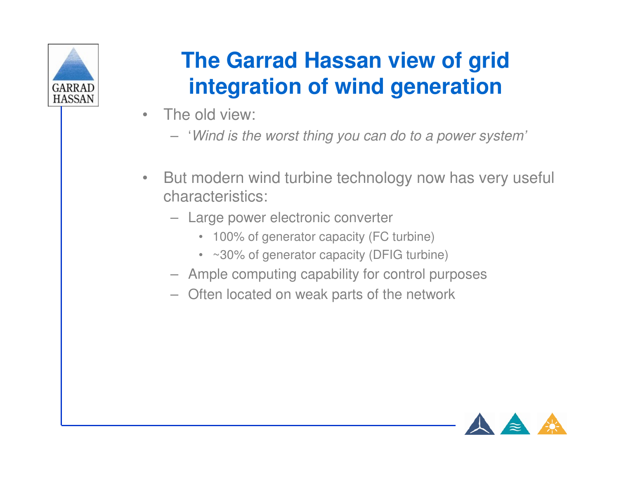

### **The Garrad Hassan view of grid integration of wind generation**

- • The old view:
	- 'Wind is the worst thing you can do to a power system'
- $\bullet$  But modern wind turbine technology now has very useful characteristics:
	- Large power electronic converter
		- 100% of generator capacity (FC turbine)
		- ~30% of generator capacity (DFIG turbine)
	- Ample computing capability for control purposes
	- Often located on weak parts of the network

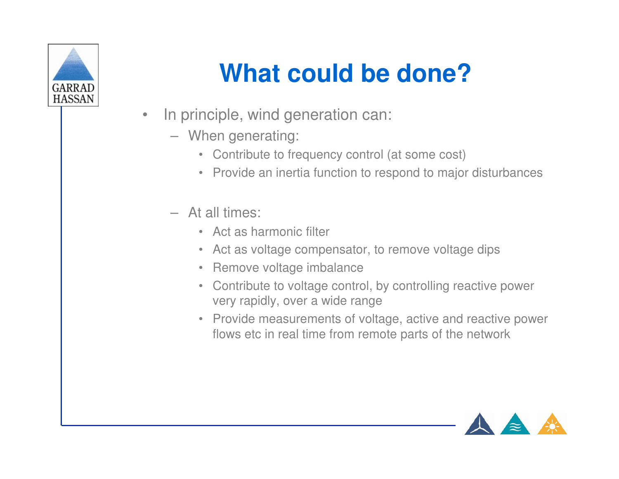

# **What could be done?**

- $\bullet$  In principle, wind generation can:
	- When generating:
		- Contribute to frequency control (at some cost)
		- Provide an inertia function to respond to major disturbances
	- At all times:
		- Act as harmonic filter
		- Act as voltage compensator, to remove voltage dips
		- Remove voltage imbalance
		- Contribute to voltage control, by controlling reactive power very rapidly, over a wide range
		- Provide measurements of voltage, active and reactive power flows etc in real time from remote parts of the network

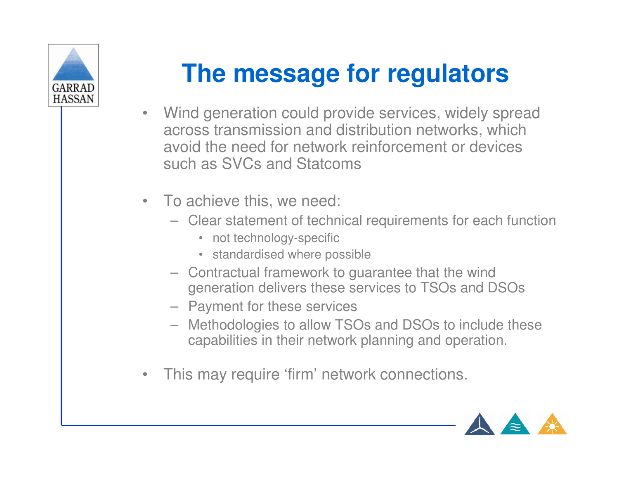

## **The message for regulators**

- Wind generation could provide services, widely spread across transmission and distribution networks, which avoid the need for network reinforcement or devicessuch as SVCs and Statcoms
- To achieve this, we need:
	- Clear statement of technical requirements for each function
		- not technology-specific
		- standardised where possible
	- Contractual framework to guarantee that the wind generation delivers these services to TSOs and DSOs
	- Payment for these services
	- Methodologies to allow TSOs and DSOs to include these capabilities in their network planning and operation.
- •This may require 'firm' network connections.